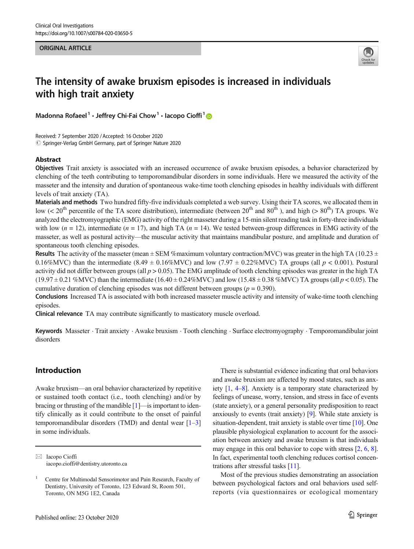#### ORIGINAL ARTICLE



# The intensity of awake bruxism episodes is increased in individuals with high trait anxiety

Madonna Rofaeel<sup>1</sup> · Jeffrey Chi-Fai Chow<sup>1</sup> · Iacopo Cioffi<sup>1</sup>

Received: 7 September 2020 /Accepted: 16 October 2020  $\oslash$  Springer-Verlag GmbH Germany, part of Springer Nature 2020

#### Abstract

Objectives Trait anxiety is associated with an increased occurrence of awake bruxism episodes, a behavior characterized by clenching of the teeth contributing to temporomandibular disorders in some individuals. Here we measured the activity of the masseter and the intensity and duration of spontaneous wake-time tooth clenching episodes in healthy individuals with different levels of trait anxiety (TA).

Materials and methods Two hundred fifty-five individuals completed a web survey. Using their TA scores, we allocated them in low ( $\lt 20<sup>th</sup>$  percentile of the TA score distribution), intermediate (between  $20<sup>th</sup>$  and  $80<sup>th</sup>$ ), and high ( $> 80<sup>th</sup>$ ) TA groups. We analyzed the electromyographic (EMG) activity of the right masseter during a 15-min silent reading task in forty-three individuals with low  $(n = 12)$ , intermediate  $(n = 17)$ , and high TA  $(n = 14)$ . We tested between-group differences in EMG activity of the masseter, as well as postural activity—the muscular activity that maintains mandibular posture, and amplitude and duration of spontaneous tooth clenching episodes.

**Results** The activity of the masseter (mean  $\pm$  SEM % maximum voluntary contraction/MVC) was greater in the high TA (10.23  $\pm$ 0.16%MVC) than the intermediate (8.49  $\pm$  0.16%MVC) and low (7.97  $\pm$  0.22%MVC) TA groups (all  $p < 0.001$ ). Postural activity did not differ between groups (all  $p > 0.05$ ). The EMG amplitude of tooth clenching episodes was greater in the high TA  $(19.97 \pm 0.21 \text{ %MVC})$  than the intermediate  $(16.40 \pm 0.24 \text{ %MVC})$  and low  $(15.48 \pm 0.38 \text{ %MVC})$  TA groups (all  $p < 0.05$ ). The cumulative duration of clenching episodes was not different between groups ( $p = 0.390$ ).

Conclusions Increased TA is associated with both increased masseter muscle activity and intensity of wake-time tooth clenching episodes.

Clinical relevance TA may contribute significantly to masticatory muscle overload.

Keywords Masseter . Trait anxiety . Awake bruxism . Tooth clenching . Surface electromyography . Temporomandibular joint disorders

# Introduction

Awake bruxism—an oral behavior characterized by repetitive or sustained tooth contact (i.e., tooth clenching) and/or by bracing or thrusting of the mandible [[1\]](#page-8-0)—is important to identify clinically as it could contribute to the onset of painful temporomandibular disorders (TMD) and dental wear  $[1-3]$  $[1-3]$  $[1-3]$ in some individuals.

There is substantial evidence indicating that oral behaviors and awake bruxism are affected by mood states, such as anxiety  $[1, 4-8]$  $[1, 4-8]$  $[1, 4-8]$  $[1, 4-8]$  $[1, 4-8]$ . Anxiety is a temporary state characterized by feelings of unease, worry, tension, and stress in face of events (state anxiety), or a general personality predisposition to react anxiously to events (trait anxiety) [\[9\]](#page-8-0). While state anxiety is situation-dependent, trait anxiety is stable over time [\[10](#page-8-0)]. One plausible physiological explanation to account for the association between anxiety and awake bruxism is that individuals may engage in this oral behavior to cope with stress [\[2,](#page-8-0) [6,](#page-8-0) [8\]](#page-8-0). In fact, experimental tooth clenching reduces cortisol concentrations after stressful tasks [\[11](#page-8-0)].

Most of the previous studies demonstrating an association between psychological factors and oral behaviors used selfreports (via questionnaires or ecological momentary

 $\boxtimes$  Iacopo Cioffi [iacopo.cioffi@dentistry.utoronto.ca](mailto:iacopo.cioffi@dentistry.utoronto.ca)

<sup>1</sup> Centre for Multimodal Sensorimotor and Pain Research, Faculty of Dentistry, University of Toronto, 123 Edward St, Room 501, Toronto, ON M5G 1E2, Canada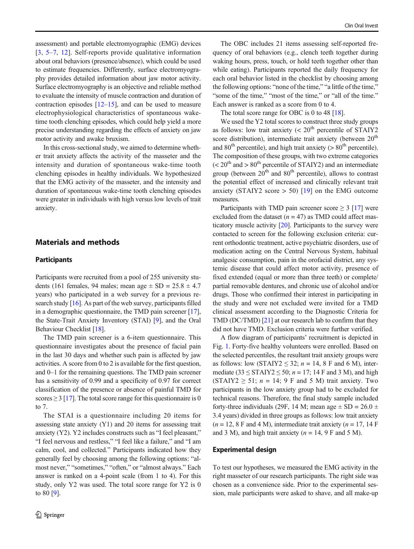assessment) and portable electromyographic (EMG) devices [\[3](#page-8-0), [5](#page-8-0)–[7](#page-8-0), [12](#page-8-0)]. Self-reports provide qualitative information about oral behaviors (presence/absence), which could be used to estimate frequencies. Differently, surface electromyography provides detailed information about jaw motor activity. Surface electromyography is an objective and reliable method to evaluate the intensity of muscle contraction and duration of contraction episodes  $[12-15]$  $[12-15]$  $[12-15]$ , and can be used to measure electrophysiological characteristics of spontaneous waketime tooth clenching episodes, which could help yield a more precise understanding regarding the effects of anxiety on jaw motor activity and awake bruxism.

In this cross-sectional study, we aimed to determine whether trait anxiety affects the activity of the masseter and the intensity and duration of spontaneous wake-time tooth clenching episodes in healthy individuals. We hypothesized that the EMG activity of the masseter, and the intensity and duration of spontaneous wake-time tooth clenching episodes were greater in individuals with high versus low levels of trait anxiety.

# Materials and methods

#### **Participants**

Participants were recruited from a pool of 255 university students (161 females, 94 males; mean age  $\pm$  SD = 25.8  $\pm$  4.7 years) who participated in a web survey for a previous research study [[16](#page-8-0)]. As part of the web survey, participants filled in a demographic questionnaire, the TMD pain screener [[17\]](#page-8-0), the State-Trait Anxiety Inventory (STAI) [[9\]](#page-8-0), and the Oral Behaviour Checklist [\[18](#page-8-0)].

The TMD pain screener is a 6-item questionnaire. This questionnaire investigates about the presence of facial pain in the last 30 days and whether such pain is affected by jaw activities. A score from 0 to 2 is available for the first question, and 0–1 for the remaining questions. The TMD pain screener has a sensitivity of 0.99 and a specificity of 0.97 for correct classification of the presence or absence of painful TMD for scores  $\geq$  3 [\[17](#page-8-0)]. The total score range for this questionnaire is 0 to 7.

The STAI is a questionnaire including 20 items for assessing state anxiety (Y1) and 20 items for assessing trait anxiety (Y2). Y2 includes constructs such as "I feel pleasant," "I feel nervous and restless," "I feel like a failure," and "I am calm, cool, and collected." Participants indicated how they generally feel by choosing among the following options: "almost never," "sometimes," "often," or "almost always." Each answer is ranked on a 4-point scale (from 1 to 4). For this study, only Y2 was used. The total score range for Y2 is 0 to 80 [[9\]](#page-8-0).

The OBC includes 21 items assessing self-reported frequency of oral behaviors (e.g., clench teeth together during waking hours, press, touch, or hold teeth together other than while eating). Participants reported the daily frequency for each oral behavior listed in the checklist by choosing among the following options: "none of the time," "a little of the time," "some of the time," "most of the time," or "all of the time." Each answer is ranked as a score from 0 to 4.

The total score range for OBC is 0 to 48 [\[18\]](#page-8-0).

We used the Y2 total scores to construct three study groups as follows: low trait anxiety  $(< 20<sup>th</sup>$  percentile of STAIY2 score distribution), intermediate trait anxiety (between  $20<sup>th</sup>$ and  $80<sup>th</sup>$  percentile), and high trait anxiety ( $> 80<sup>th</sup>$  percentile). The composition of these groups, with two extreme categories  $(< 20<sup>th</sup>$  and  $> 80<sup>th</sup>$  percentile of STAIY2) and an intermediate group (between  $20<sup>th</sup>$  and  $80<sup>th</sup>$  percentile), allows to contrast the potential effect of increased and clinically relevant trait anxiety (STAIY2 score  $> 50$ ) [\[19](#page-8-0)] on the EMG outcome measures.

Participants with TMD pain screener score  $\geq 3$  [\[17](#page-8-0)] were excluded from the dataset ( $n = 47$ ) as TMD could affect masticatory muscle activity [\[20\]](#page-8-0). Participants to the survey were contacted to screen for the following exclusion criteria: current orthodontic treatment, active psychiatric disorders, use of medication acting on the Central Nervous System, habitual analgesic consumption, pain in the orofacial district, any systemic disease that could affect motor activity, presence of fixed extended (equal or more than three teeth) or complete/ partial removable dentures, and chronic use of alcohol and/or drugs. Those who confirmed their interest in participating in the study and were not excluded were invited for a TMD clinical assessment according to the Diagnostic Criteria for TMD (DC/TMD) [\[21\]](#page-8-0) at our research lab to confirm that they did not have TMD. Exclusion criteria were further verified.

A flow diagram of participants' recruitment is depicted in Fig. [1](#page-2-0). Forty-five healthy volunteers were enrolled. Based on the selected percentiles, the resultant trait anxiety groups were as follows: low (STAIY2  $\leq$  32; n = 14, 8 F and 6 M), intermediate (33  $\leq$  STAIY2  $\leq$  50; n = 17; 14 F and 3 M), and high (STAIY2  $\geq$  51;  $n = 14$ ; 9 F and 5 M) trait anxiety. Two participants in the low anxiety group had to be excluded for technical reasons. Therefore, the final study sample included forty-three individuals (29F, 14 M; mean age  $\pm$  SD = 26.0  $\pm$ 3.4 years) divided in three groups as follows: low trait anxiety  $(n = 12, 8 \text{ F and } 4 \text{ M})$ , intermediate trait anxiety  $(n = 17, 14 \text{ F})$ and 3 M), and high trait anxiety ( $n = 14$ , 9 F and 5 M).

#### Experimental design

To test our hypotheses, we measured the EMG activity in the right masseter of our research participants. The right side was chosen as a convenience side. Prior to the experimental session, male participants were asked to shave, and all make-up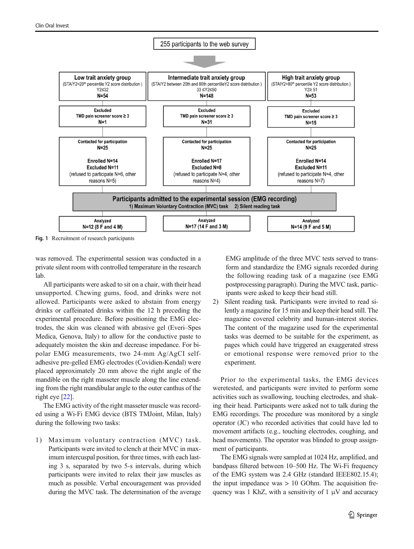<span id="page-2-0"></span>

Fig. 1 Recruitment of research participants

was removed. The experimental session was conducted in a private silent room with controlled temperature in the research lab.

All participants were asked to sit on a chair, with their head unsupported. Chewing gums, food, and drinks were not allowed. Participants were asked to abstain from energy drinks or caffeinated drinks within the 12 h preceding the experimental procedure. Before positioning the EMG electrodes, the skin was cleaned with abrasive gel (Everi–Spes Medica, Genova, Italy) to allow for the conductive paste to adequately moisten the skin and decrease impedance. For bipolar EMG measurements, two 24-mm Ag/AgCI selfadhesive pre-gelled EMG electrodes (Covidien-Kendal) were placed approximately 20 mm above the right angle of the mandible on the right masseter muscle along the line extending from the right mandibular angle to the outer canthus of the right eye [\[22\]](#page-8-0).

The EMG activity of the right masseter muscle was recorded using a Wi-Fi EMG device (BTS TMJoint, Milan, Italy) during the following two tasks:

1) Maximum voluntary contraction (MVC) task. Participants were invited to clench at their MVC in maximum intercuspal position, for three times, with each lasting 3 s, separated by two 5-s intervals, during which participants were invited to relax their jaw muscles as much as possible. Verbal encouragement was provided during the MVC task. The determination of the average EMG amplitude of the three MVC tests served to transform and standardize the EMG signals recorded during the following reading task of a magazine (see EMG postprocessing paragraph). During the MVC task, participants were asked to keep their head still.

2) Silent reading task. Participants were invited to read silently a magazine for 15 min and keep their head still. The magazine covered celebrity and human-interest stories. The content of the magazine used for the experimental tasks was deemed to be suitable for the experiment, as pages which could have triggered an exaggerated stress or emotional response were removed prior to the experiment.

Prior to the experimental tasks, the EMG devices weretested, and participants were invited to perform some activities such as swallowing, touching electrodes, and shaking their head. Participants were asked not to talk during the EMG recordings. The procedure was monitored by a single operator (JC) who recorded activities that could have led to movement artifacts (e.g., touching electrodes, coughing, and head movements). The operator was blinded to group assignment of participants.

The EMG signals were sampled at 1024 Hz, amplified, and bandpass filtered between 10–500 Hz. The Wi-Fi frequency of the EMG system was 2.4 GHz (standard IEEE802.15.4); the input impedance was  $> 10$  GOhm. The acquisition frequency was 1 KhZ, with a sensitivity of 1  $\mu$ V and accuracy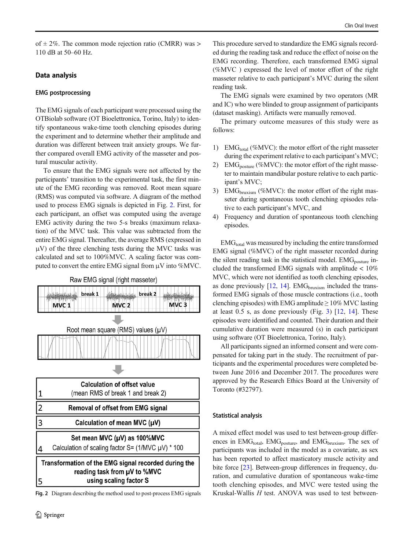of  $\pm$  2%. The common mode rejection ratio (CMRR) was  $>$ 110 dB at 50–60 Hz.

## Data analysis

#### EMG postprocessing

The EMG signals of each participant were processed using the OTBiolab software (OT Bioelettronica, Torino, Italy) to identify spontaneous wake-time tooth clenching episodes during the experiment and to determine whether their amplitude and duration was different between trait anxiety groups. We further compared overall EMG activity of the masseter and postural muscular activity.

To ensure that the EMG signals were not affected by the participants' transition to the experimental task, the first minute of the EMG recording was removed. Root mean square (RMS) was computed via software. A diagram of the method used to process EMG signals is depicted in Fig. 2. First, for each participant, an offset was computed using the average EMG activity during the two 5-s breaks (maximum relaxation) of the MVC task. This value was subtracted from the entire EMG signal. Thereafter, the average RMS (expressed in  $\mu$ V) of the three clenching tests during the MVC tasks was calculated and set to 100%MVC. A scaling factor was computed to convert the entire EMG signal from μV into %MVC.



| 1                                                                                                              | <b>Calculation of offset value</b><br>(mean RMS of break 1 and break 2)                 |
|----------------------------------------------------------------------------------------------------------------|-----------------------------------------------------------------------------------------|
| 2                                                                                                              | <b>Removal of offset from EMG signal</b>                                                |
| 3                                                                                                              | Calculation of mean MVC $(\mu V)$                                                       |
| 4                                                                                                              | Set mean MVC (µV) as 100%MVC<br>Calculation of scaling factor $S = (1/MVC \mu V)^* 100$ |
| Transformation of the EMG signal recorded during the<br>reading task from µV to %MVC<br>using scaling factor S |                                                                                         |

This procedure served to standardize the EMG signals recorded during the reading task and reduce the effect of noise on the EMG recording. Therefore, each transformed EMG signal (%MVC ) expressed the level of motor effort of the right masseter relative to each participant's MVC during the silent reading task.

The EMG signals were examined by two operators (MR and IC) who were blinded to group assignment of participants (dataset masking). Artifacts were manually removed.

The primary outcome measures of this study were as follows:

- 1) EMG<sub>total</sub> (%MVC): the motor effort of the right masseter during the experiment relative to each participant's MVC;
- 2) EMG<sub>posture</sub> (%MVC): the motor effort of the right masseter to maintain mandibular posture relative to each participant's MVC;
- 3) EMG<sub>bruxism</sub> (%MVC): the motor effort of the right masseter during spontaneous tooth clenching episodes relative to each participant's MVC, and
- 4) Frequency and duration of spontaneous tooth clenching episodes.

 $EMG<sub>total</sub>$  was measured by including the entire transformed EMG signal (%MVC) of the right masseter recorded during the silent reading task in the statistical model. EMG<sub>posture</sub> included the transformed EMG signals with amplitude  $< 10\%$ MVC, which were not identified as tooth clenching episodes, as done previously  $[12, 14]$  $[12, 14]$  $[12, 14]$ . EM $G<sub>bruxism</sub>$  included the transformed EMG signals of those muscle contractions (i.e., tooth clenching episodes) with EMG amplitude  $\geq 10\%$  MVC lasting at least  $0.5$  s, as done previously (Fig. [3](#page-4-0)) [[12,](#page-8-0) [14](#page-8-0)]. These episodes were identified and counted. Their duration and their cumulative duration were measured (s) in each participant using software (OT Bioelettronica, Torino, Italy).

All participants signed an informed consent and were compensated for taking part in the study. The recruitment of participants and the experimental procedures were completed between June 2016 and December 2017. The procedures were approved by the Research Ethics Board at the University of Toronto (#32797).

## Statistical analysis

A mixed effect model was used to test between-group differences in  $EMG<sub>total</sub>$ ,  $EMG<sub>posture</sub>$ , and  $EMG<sub>bruxism</sub>$ . The sex of participants was included in the model as a covariate, as sex has been reported to affect masticatory muscle activity and bite force [[23](#page-8-0)]. Between-group differences in frequency, duration, and cumulative duration of spontaneous wake-time tooth clenching episodes, and MVC were tested using the Fig. 2 Diagram describing the method used to post-process EMG signals Kruskal-Wallis  $H$  test. ANOVA was used to test between-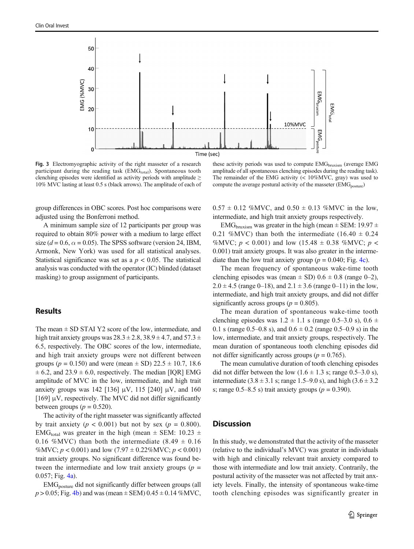<span id="page-4-0"></span>

Fig. 3 Electromyographic activity of the right masseter of a research participant during the reading task  $(EMG<sub>total</sub>)$ . Spontaneous tooth clenching episodes were identified as activity periods with amplitude  $\geq$ 10% MVC lasting at least 0.5 s (black arrows). The amplitude of each of

these activity periods was used to compute  $EMG<sub>bruxism</sub>$  (average  $EMG$ amplitude of all spontaneous clenching episodes during the reading task). The remainder of the EMG activity (< 10%MVC, gray) was used to compute the average postural activity of the masseter  $(EMG_{posture})$ 

group differences in OBC scores. Post hoc comparisons were adjusted using the Bonferroni method.

A minimum sample size of 12 participants per group was required to obtain 80% power with a medium to large effect size ( $d = 0.6$ ,  $\alpha = 0.05$ ). The SPSS software (version 24, IBM, Armonk, New York) was used for all statistical analyses. Statistical significance was set as a  $p < 0.05$ . The statistical analysis was conducted with the operator (IC) blinded (dataset masking) to group assignment of participants.

## **Results**

The mean  $\pm$  SD STAI Y2 score of the low, intermediate, and high trait anxiety groups was  $28.3 \pm 2.8$ ,  $38.9 \pm 4.7$ , and  $57.3 \pm 1.7$ 6.5, respectively. The OBC scores of the low, intermediate, and high trait anxiety groups were not different between groups ( $p = 0.150$ ) and were (mean  $\pm$  SD) 22.5  $\pm$  10.7, 18.6  $\pm$  6.2, and 23.9  $\pm$  6.0, respectively. The median [IQR] EMG amplitude of MVC in the low, intermediate, and high trait anxiety groups was 142 [136] μV, 115 [240] μV, and 160 [ $169$ ]  $\mu$ V, respectively. The MVC did not differ significantly between groups ( $p = 0.520$ ).

The activity of the right masseter was significantly affected by trait anxiety ( $p < 0.001$ ) but not by sex ( $p = 0.800$ ). EMG<sub>total</sub> was greater in the high (mean  $\pm$  SEM: 10.23  $\pm$ 0.16 %MVC) than both the intermediate  $(8.49 \pm 0.16$ %MVC;  $p < 0.001$ ) and low  $(7.97 \pm 0.22\%$ MVC;  $p < 0.001$ ) trait anxiety groups. No significant difference was found between the intermediate and low trait anxiety groups ( $p =$ 0.057; Fig. [4a](#page-5-0)).

EMGposture did not significantly differ between groups (all  $p > 0.05$ ; Fig. [4b](#page-5-0)) and was (mean  $\pm$  SEM) 0.45  $\pm$  0.14 %MVC,  $0.57 \pm 0.12$  %MVC, and  $0.50 \pm 0.13$  %MVC in the low, intermediate, and high trait anxiety groups respectively.

EMG<sub>bruxism</sub> was greater in the high (mean  $\pm$  SEM: 19.97  $\pm$ 0.21 %MVC) than both the intermediate  $(16.40 \pm 0.24)$ %MVC;  $p < 0.001$ ) and low (15.48  $\pm$  0.38 %MVC;  $p <$ 0.001) trait anxiety groups. It was also greater in the intermediate than the low trait anxiety group ( $p = 0.040$ ; Fig. [4c](#page-5-0)).

The mean frequency of spontaneous wake-time tooth clenching episodes was (mean  $\pm$  SD) 0.6  $\pm$  0.8 (range 0–2),  $2.0 \pm 4.5$  (range 0–18), and  $2.1 \pm 3.6$  (range 0–11) in the low, intermediate, and high trait anxiety groups, and did not differ significantly across groups ( $p = 0.805$ ).

The mean duration of spontaneous wake-time tooth clenching episodes was  $1.2 \pm 1.1$  s (range 0.5–3.0 s),  $0.6 \pm$ 0.1 s (range 0.5–0.8 s), and  $0.6 \pm 0.2$  (range 0.5–0.9 s) in the low, intermediate, and trait anxiety groups, respectively. The mean duration of spontaneous tooth clenching episodes did not differ significantly across groups ( $p = 0.765$ ).

The mean cumulative duration of tooth clenching episodes did not differ between the low  $(1.6 \pm 1.3 \text{ s}; \text{range } 0.5-3.0 \text{ s})$ , intermediate (3.8  $\pm$  3.1 s; range 1.5–9.0 s), and high (3.6  $\pm$  3.2 s; range 0.5–8.5 s) trait anxiety groups ( $p = 0.390$ ).

## **Discussion**

In this study, we demonstrated that the activity of the masseter (relative to the individual's MVC) was greater in individuals with high and clinically relevant trait anxiety compared to those with intermediate and low trait anxiety. Contrarily, the postural activity of the masseter was not affected by trait anxiety levels. Finally, the intensity of spontaneous wake-time tooth clenching episodes was significantly greater in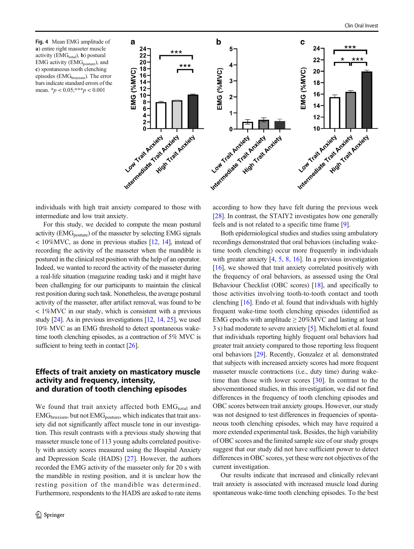Fig. 4 Mean EMG amplitude of a) entire right masseter muscle activity ( $EMG<sub>total</sub>$ ), **b**) postural EMG activity (EMG<sub>posture</sub>), and c) spontaneous tooth clenching episodes ( $EMG<sub>bruxism</sub>$ ). The error bars indicate standard errors of the mean.  ${}^*p$  < 0.05; \*\*\* $p$  < 0.001

<span id="page-5-0"></span>

intermediate and low trait anxiety.

For this study, we decided to compute the mean postural activity ( $EMG<sub>posture</sub>$ ) of the masseter by selecting EMG signals < 10%MVC, as done in previous studies [[12](#page-8-0), [14](#page-8-0)], instead of recording the activity of the masseter when the mandible is postured in the clinical rest position with the help of an operator. Indeed, we wanted to record the activity of the masseter during a real-life situation (magazine reading task) and it might have been challenging for our participants to maintain the clinical rest position during such task. Nonetheless, the average postural activity of the masseter, after artifact removal, was found to be < 1%MVC in our study, which is consistent with a previous study [\[24\]](#page-8-0). As in previous investigations [\[12,](#page-8-0) [14](#page-8-0), [25\]](#page-8-0), we used 10% MVC as an EMG threshold to detect spontaneous waketime tooth clenching episodes, as a contraction of 5% MVC is sufficient to bring teeth in contact [\[26\]](#page-8-0).

# Effects of trait anxiety on masticatory muscle activity and frequency, intensity, and duration of tooth clenching episodes

We found that trait anxiety affected both  $EMG<sub>total</sub>$  and EMG<sub>bruxism</sub>, but not EMG<sub>posture</sub>, which indicates that trait anxiety did not significantly affect muscle tone in our investigation. This result contrasts with a previous study showing that masseter muscle tone of 113 young adults correlated positively with anxiety scores measured using the Hospital Anxiety and Depression Scale (HADS) [[27](#page-8-0)]. However, the authors recorded the EMG activity of the masseter only for 20 s with the mandible in resting position, and it is unclear how the resting position of the mandible was determined. Furthermore, respondents to the HADS are asked to rate items [\[28](#page-8-0)]. In contrast, the STAIY2 investigates how one generally feels and is not related to a specific time frame [\[9\]](#page-8-0).

Both epidemiological studies and studies using ambulatory recordings demonstrated that oral behaviors (including waketime tooth clenching) occur more frequently in individuals with greater anxiety [\[4](#page-8-0), [5,](#page-8-0) [8](#page-8-0), [16](#page-8-0)]. In a previous investigation [\[16](#page-8-0)], we showed that trait anxiety correlated positively with the frequency of oral behaviors, as assessed using the Oral Behaviour Checklist (OBC scores) [[18\]](#page-8-0), and specifically to those activities involving tooth-to-tooth contact and tooth clenching [\[16](#page-8-0)]. Endo et al. found that individuals with highly frequent wake-time tooth clenching episodes (identified as EMG epochs with amplitude  $\geq 20\%$ MVC and lasting at least 3 s) had moderate to severe anxiety [\[5](#page-8-0)]. Michelotti et al. found that individuals reporting highly frequent oral behaviors had greater trait anxiety compared to those reporting less frequent oral behaviors [\[29\]](#page-9-0). Recently, Gonzalez et al. demonstrated that subjects with increased anxiety scores had more frequent masseter muscle contractions (i.e., duty time) during waketime than those with lower scores [\[30\]](#page-9-0). In contrast to the abovementioned studies, in this investigation, we did not find differences in the frequency of tooth clenching episodes and OBC scores between trait anxiety groups. However, our study was not designed to test differences in frequencies of spontaneous tooth clenching episodes, which may have required a more extended experimental task. Besides, the high variability of OBC scores and the limited sample size of our study groups suggest that our study did not have sufficient power to detect differences in OBC scores, yet these were not objectives of the current investigation.

Our results indicate that increased and clinically relevant trait anxiety is associated with increased muscle load during spontaneous wake-time tooth clenching episodes. To the best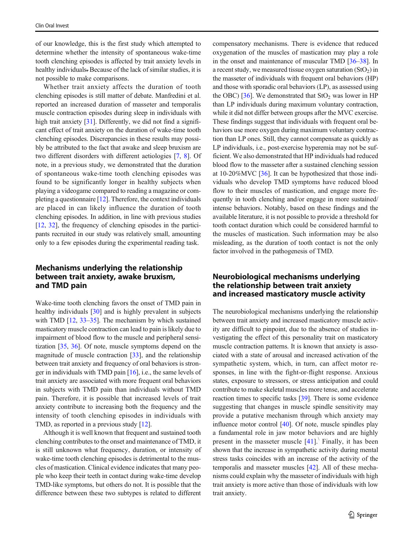of our knowledge, this is the first study which attempted to determine whether the intensity of spontaneous wake-time tooth clenching episodes is affected by trait anxiety levels in healthy individuals. Because of the lack of similar studies, it is not possible to make comparisons.

Whether trait anxiety affects the duration of tooth clenching episodes is still matter of debate. Manfredini et al. reported an increased duration of masseter and temporalis muscle contraction episodes during sleep in individuals with high trait anxiety [\[31\]](#page-9-0). Differently, we did not find a significant effect of trait anxiety on the duration of wake-time tooth clenching episodes. Discrepancies in these results may possibly be attributed to the fact that awake and sleep bruxism are two different disorders with different aetiologies [\[7](#page-8-0), [8](#page-8-0)]. Of note, in a previous study, we demonstrated that the duration of spontaneous wake-time tooth clenching episodes was found to be significantly longer in healthy subjects when playing a videogame compared to reading a magazine or completing a questionnaire [[12\]](#page-8-0). Therefore, the context individuals are placed in can likely influence the duration of tooth clenching episodes. In addition, in line with previous studies [\[12,](#page-8-0) [32\]](#page-9-0), the frequency of clenching episodes in the participants recruited in our study was relatively small, amounting only to a few episodes during the experimental reading task.

# Mechanisms underlying the relationship between trait anxiety, awake bruxism, and TMD pain

Wake-time tooth clenching favors the onset of TMD pain in healthy individuals [\[30](#page-9-0)] and is highly prevalent in subjects with TMD [\[12](#page-8-0), [33](#page-9-0)–[35](#page-9-0)]. The mechanism by which sustained masticatory muscle contraction can lead to pain is likely due to impairment of blood flow to the muscle and peripheral sensitization [[35](#page-9-0), [36](#page-9-0)]. Of note, muscle symptoms depend on the magnitude of muscle contraction [\[33](#page-9-0)], and the relationship between trait anxiety and frequency of oral behaviors is stronger in individuals with TMD pain [\[16\]](#page-8-0), i.e., the same levels of trait anxiety are associated with more frequent oral behaviors in subjects with TMD pain than individuals without TMD pain. Therefore, it is possible that increased levels of trait anxiety contribute to increasing both the frequency and the intensity of tooth clenching episodes in individuals with TMD, as reported in a previous study [\[12](#page-8-0)].

Although it is well known that frequent and sustained tooth clenching contributes to the onset and maintenance of TMD, it is still unknown what frequency, duration, or intensity of wake-time tooth clenching episodes is detrimental to the muscles of mastication. Clinical evidence indicates that many people who keep their teeth in contact during wake-time develop TMD-like symptoms, but others do not. It is possible that the difference between these two subtypes is related to different

compensatory mechanisms. There is evidence that reduced oxygenation of the muscles of mastication may play a role in the onset and maintenance of muscular TMD [\[36](#page-9-0)–[38](#page-9-0)]. In a recent study, we measured tissue oxygen saturation  $(StO<sub>2</sub>)$  in the masseter of individuals with frequent oral behaviors (HP) and those with sporadic oral behaviors (LP), as assessed using the OBC) [ $36$ ]. We demonstrated that StO<sub>2</sub> was lower in HP than LP individuals during maximum voluntary contraction, while it did not differ between groups after the MVC exercise. These findings suggest that individuals with frequent oral behaviors use more oxygen during maximum voluntary contraction than LP ones. Still, they cannot compensate as quickly as LP individuals, i.e., post-exercise hyperemia may not be sufficient. We also demonstrated that HP individuals had reduced blood flow to the masseter after a sustained clenching session at 10-20%MVC [\[36](#page-9-0)]. It can be hypothesized that those individuals who develop TMD symptoms have reduced blood flow to their muscles of mastication, and engage more frequently in tooth clenching and/or engage in more sustained/ intense behaviors. Notably, based on these findings and the available literature, it is not possible to provide a threshold for tooth contact duration which could be considered harmful to the muscles of mastication. Such information may be also misleading, as the duration of tooth contact is not the only factor involved in the pathogenesis of TMD.

# Neurobiological mechanisms underlying the relationship between trait anxiety and increased masticatory muscle activity

The neurobiological mechanisms underlying the relationship between trait anxiety and increased masticatory muscle activity are difficult to pinpoint, due to the absence of studies investigating the effect of this personality trait on masticatory muscle contraction patterns. It is known that anxiety is associated with a state of arousal and increased activation of the sympathetic system, which, in turn, can affect motor responses, in line with the fight-or-flight response. Anxious states, exposure to stressors, or stress anticipation and could contribute to make skeletal muscles more tense, and accelerate reaction times to specific tasks [[39\]](#page-9-0). There is some evidence suggesting that changes in muscle spindle sensitivity may provide a putative mechanism through which anxiety may influence motor control [\[40\]](#page-9-0). Of note, muscle spindles play a fundamental role in jaw motor behaviors and are highly present in the masseter muscle  $[41]$  $[41]$ . Finally, it has been shown that the increase in sympathetic activity during mental stress tasks coincides with an increase of the activity of the temporalis and masseter muscles [[42\]](#page-9-0). All of these mechanisms could explain why the masseter of individuals with high trait anxiety is more active than those of individuals with low trait anxiety.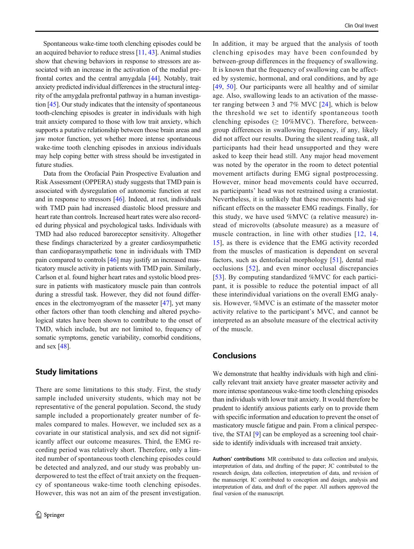Spontaneous wake-time tooth clenching episodes could be an acquired behavior to reduce stress [[11,](#page-8-0) [43](#page-9-0)]. Animal studies show that chewing behaviors in response to stressors are associated with an increase in the activation of the medial prefrontal cortex and the central amygdala [[44\]](#page-9-0). Notably, trait anxiety predicted individual differences in the structural integrity of the amygdala prefrontal pathway in a human investigation [\[45](#page-9-0)]. Our study indicates that the intensity of spontaneous tooth-clenching episodes is greater in individuals with high trait anxiety compared to those with low trait anxiety, which supports a putative relationship between those brain areas and jaw motor function, yet whether more intense spontaneous wake-time tooth clenching episodes in anxious individuals may help coping better with stress should be investigated in future studies.

Data from the Orofacial Pain Prospective Evaluation and Risk Assessment (OPPERA) study suggests that TMD pain is associated with dysregulation of autonomic function at rest and in response to stressors [\[46\]](#page-9-0). Indeed, at rest, individuals with TMD pain had increased diastolic blood pressure and heart rate than controls. Increased heart rates were also recorded during physical and psychological tasks. Individuals with TMD had also reduced baroreceptor sensitivity. Altogether these findings characterized by a greater cardiosympathetic than cardioparasympathetic tone in individuals with TMD pain compared to controls [[46\]](#page-9-0) may justify an increased masticatory muscle activity in patients with TMD pain. Similarly, Carlson et al. found higher heart rates and systolic blood pressure in patients with masticatory muscle pain than controls during a stressful task. However, they did not found differences in the electromyogram of the masseter [\[47\]](#page-9-0), yet many other factors other than tooth clenching and altered psychological states have been shown to contribute to the onset of TMD, which include, but are not limited to, frequency of somatic symptoms, genetic variability, comorbid conditions, and sex [\[48](#page-9-0)].

## Study limitations

There are some limitations to this study. First, the study sample included university students, which may not be representative of the general population. Second, the study sample included a proportionately greater number of females compared to males. However, we included sex as a covariate in our statistical analysis, and sex did not significantly affect our outcome measures. Third, the EMG recording period was relatively short. Therefore, only a limited number of spontaneous tooth clenching episodes could be detected and analyzed, and our study was probably underpowered to test the effect of trait anxiety on the frequency of spontaneous wake-time tooth clenching episodes. However, this was not an aim of the present investigation.

In addition, it may be argued that the analysis of tooth clenching episodes may have been confounded by between-group differences in the frequency of swallowing. It is known that the frequency of swallowing can be affected by systemic, hormonal, and oral conditions, and by age [\[49,](#page-9-0) [50](#page-9-0)]. Our participants were all healthy and of similar age. Also, swallowing leads to an activation of the masseter ranging between 3 and 7% MVC [[24\]](#page-8-0), which is below the threshold we set to identify spontaneous tooth clenching episodes ( $\geq 10\%$ MVC). Therefore, betweengroup differences in swallowing frequency, if any, likely did not affect our results. During the silent reading task, all participants had their head unsupported and they were asked to keep their head still. Any major head movement was noted by the operator in the room to detect potential movement artifacts during EMG signal postprocessing. However, minor head movements could have occurred, as participants' head was not restrained using a craniostat. Nevertheless, it is unlikely that these movements had significant effects on the masseter EMG readings. Finally, for this study, we have used %MVC (a relative measure) instead of microvolts (absolute measure) as a measure of muscle contraction, in line with other studies [[12](#page-8-0), [14,](#page-8-0) [15](#page-8-0)], as there is evidence that the EMG activity recorded from the muscles of mastication is dependent on several factors, such as dentofacial morphology [\[51](#page-9-0)], dental malocclusions [[52](#page-9-0)], and even minor occlusal discrepancies [\[53\]](#page-9-0). By computing standardized %MVC for each participant, it is possible to reduce the potential impact of all these interindividual variations on the overall EMG analysis. However, %MVC is an estimate of the masseter motor activity relative to the participant's MVC, and cannot be interpreted as an absolute measure of the electrical activity of the muscle.

# Conclusions

We demonstrate that healthy individuals with high and clinically relevant trait anxiety have greater masseter activity and more intense spontaneous wake-time tooth clenching episodes than individuals with lower trait anxiety. It would therefore be prudent to identify anxious patients early on to provide them with specific information and education to prevent the onset of masticatory muscle fatigue and pain. From a clinical perspective, the STAI [\[9](#page-8-0)] can be employed as a screening tool chairside to identify individuals with increased trait anxiety.

Authors' contributions MR contributed to data collection and analysis, interpretation of data, and drafting of the paper; JC contributed to the research design, data collection, interpretation of data, and revision of the manuscript. IC contributed to conception and design, analysis and interpretation of data, and draft of the paper. All authors approved the final version of the manuscript.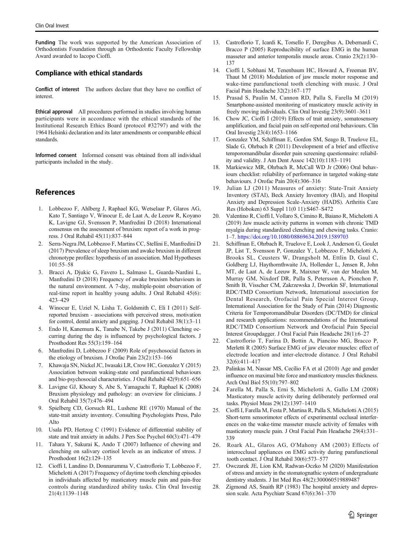<span id="page-8-0"></span>Funding The work was supported by the American Association of Orthodontists Foundation through an Orthodontic Faculty Fellowship Award awarded to Iacopo Cioffi.

## Compliance with ethical standards

Conflict of interest The authors declare that they have no conflict of interest.

Ethical approval All procedures performed in studies involving human participants were in accordance with the ethical standards of the Institutional Research Ethics Board (protocol #32797) and with the 1964 Helsinki declaration and its later amendments or comparable ethical standards.

Informed consent Informed consent was obtained from all individual participants included in the study.

# **References**

- 1. Lobbezoo F, Ahlberg J, Raphael KG, Wetselaar P, Glaros AG, Kato T, Santiago V, Winocur E, de Laat A, de Leeuw R, Koyano K, Lavigne GJ, Svensson P, Manfredini D (2018) International consensus on the assessment of bruxism: report of a work in progress. J Oral Rehabil 45(11):837–844
- 2. Serra-Negra JM, Lobbezoo F, Martins CC, Stellini E, Manfredini D (2017) Prevalence of sleep bruxism and awake bruxism in different chronotype profiles: hypothesis of an association. Med Hypotheses 101:55–58
- 3. Bracci A, Djukic G, Favero L, Salmaso L, Guarda-Nardini L, Manfredini D (2018) Frequency of awake bruxism behaviours in the natural environment. A 7-day, multiple-point observation of real-time report in healthy young adults. J Oral Rehabil 45(6): 423–429
- 4. Winocur E, Uziel N, Lisha T, Goldsmith C, Eli I (2011) Selfreported bruxism - associations with perceived stress, motivation for control, dental anxiety and gagging. J Oral Rehabil 38(1):3–11
- 5. Endo H, Kanemura K, Tanabe N, Takebe J (2011) Clenching occurring during the day is influenced by psychological factors. J Prosthodont Res 55(3):159–164
- 6. Manfredini D, Lobbezoo F (2009) Role of psychosocial factors in the etiology of bruxism. J Orofac Pain 23(2):153–166
- 7. Khawaja SN, Nickel JC, Iwasaki LR, Crow HC, Gonzalez Y (2015) Association between waking-state oral parafunctional behaviours and bio-psychosocial characteristics. J Oral Rehabil 42(9):651–656
- 8. Lavigne GJ, Khoury S, Abe S, Yamaguchi T, Raphael K (2008) Bruxism physiology and pathology: an overview for clinicians. J Oral Rehabil 35(7):476–494
- 9. Spielberg CD, Gorsuch RL, Lushene RE (1970) Manual of the state-trait anxiety inventory. Consulting Psychologists Press, Palo Alto
- 10. Usala PD, Hertzog C (1991) Evidence of differential stability of state and trait anxiety in adults. J Pers Soc Psychol 60(3):471–479
- 11. Tahara Y, Sakurai K, Ando T (2007) Influence of chewing and clenching on salivary cortisol levels as an indicator of stress. J Prosthodont 16(2):129–135
- 12. Cioffi I, Landino D, Donnarumma V, Castroflorio T, Lobbezoo F, Michelotti A (2017) Frequency of daytime tooth clenching episodes in individuals affected by masticatory muscle pain and pain-free controls during standardized ability tasks. Clin Oral Investig 21(4):1139–1148
- 13. Castroflorio T, Icardi K, Torsello F, Deregibus A, Debernardi C, Bracco P (2005) Reproducibility of surface EMG in the human masseter and anterior temporalis muscle areas. Cranio 23(2):130– 137
- 14. Cioffi I, Sobhani M, Tenenbaum HC, Howard A, Freeman BV, Thaut M (2018) Modulation of jaw muscle motor response and wake-time parafunctional tooth clenching with music. J Oral Facial Pain Headache 32(2):167–177
- 15. Prasad S, Paulin M, Cannon RD, Palla S, Farella M (2019) Smartphone-assisted monitoring of masticatory muscle activity in freely moving individuals. Clin Oral Investig 23(9):3601–3611
- 16. Chow JC, Cioffi I (2019) Effects of trait anxiety, somatosensory amplification, and facial pain on self-reported oral behaviours. Clin Oral Investig 23(4):1653–1166
- 17. Gonzalez YM, Schiffman E, Gordon SM, Seago B, Truelove EL, Slade G, Ohrbach R (2011) Development of a brief and effective temporomandibular disorder pain screening questionnaire: reliability and validity. J Am Dent Assoc 142(10):1183–1191
- 18. Markiewicz MR, Ohrbach R, McCall WD Jr (2006) Oral behaviours checklist: reliability of performance in targeted waking-state behaviours. J Orofac Pain 20(4):306–316
- 19. Julian LJ (2011) Measures of anxiety: State-Trait Anxiety Inventory (STAI), Beck Anxiety Inventory (BAI), and Hospital Anxiety and Depression Scale-Anxiety (HADS). Arthritis Care Res (Hoboken) 63 Suppl 11(0 11):S467–S472
- 20. Valentino R, Cioffi I, Vollaro S, Cimino R, Baiano R, Michelotti A (2019) Jaw muscle activity patterns in women with chronic TMD myalgia during standardized clenching and chewing tasks. Cranio: 1–7. <https://doi.org/10.1080/08869634.2019.1589703>
- 21. Schiffman E, Ohrbach R, Truelove E, Look J, Anderson G, Goulet JP, List T, Svensson P, Gonzalez Y, Lobbezoo F, Michelotti A, Brooks SL, Ceusters W, Drangsholt M, Ettlin D, Gaul C, Goldberg LJ, Haythornthwaite JA, Hollender L, Jensen R, John MT, de Laat A, de Leeuw R, Maixner W, van der Meulen M, Murray GM, Nixdorf DR, Palla S, Petersson A, Pionchon P, Smith B, Visscher CM, Zakrzewska J, Dworkin SF, International RDC/TMD Consortium Network, International association for Dental Research, Orofacial Pain Special Interest Group, International Association for the Study of Pain (2014) Diagnostic Criteria for Temporomandibular Disorders (DC/TMD) for clinical and research applications: recommendations of the International RDC/TMD Consortium Network and Orofacial Pain Special Interest Groupdagger. J Oral Facial Pain Headache 28(1):6–27
- 22. Castroflorio T, Farina D, Bottin A, Piancino MG, Bracco P, Merletti R (2005) Surface EMG of jaw elevator muscles: effect of electrode location and inter-electrode distance. J Oral Rehabil 32(6):411–417
- 23. Palinkas M, Nassar MS, Cecílio FA et al (2010) Age and gender influence on maximal bite force and masticatory muscles thickness. Arch Oral Biol 55(10):797–802
- 24. Farella M, Palla S, Erni S, Michelotti A, Gallo LM (2008) Masticatory muscle activity during deliberately performed oral tasks. Physiol Meas 29(12):1397–1410
- 25. Cioffi I, Farella M, Festa P, Martina R, Palla S, Michelotti A (2015) Short-term sensorimotor effects of experimental occlusal interferences on the wake-time masseter muscle activity of females with masticatory muscle pain. J Oral Facial Pain Headache 29(4):331– 339
- 26. Roark AL, Glaros AG, O'Mahony AM (2003) Effects of interocclusal appliances on EMG activity during parafunctional tooth contact. J Oral Rehabil 30(6):573–577
- 27. Owczarek JE, Lion KM, Radwan-Oczko M (2020) Manifestation of stress and anxiety in the stomatognathic system of undergraduate dentistry students. J Int Med Res 48(2):300060519889487
- 28. Zigmond AS, Snaith RP (1983) The hospital anxiety and depression scale. Acta Psychiatr Scand 67(6):361–370